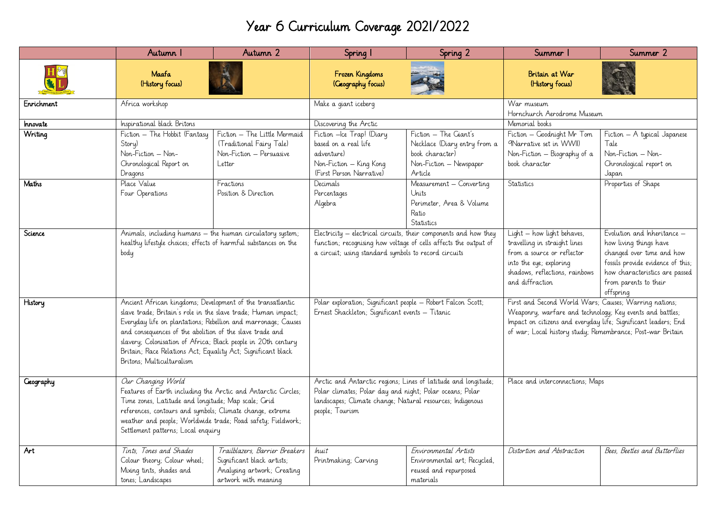## Year 6 Curriculum Coverage 2021/2022

|                  | Autumn I                                                                                                                                                                                                                                                                                                                                                                                                               | Autumn 2                                                                                                            | Spring I                                                                                                                                                                                                   | Spring 2                                                                                    | Summer                                                                                                                                                                                                                                             | Summer 2                                                                                                                                                                                        |
|------------------|------------------------------------------------------------------------------------------------------------------------------------------------------------------------------------------------------------------------------------------------------------------------------------------------------------------------------------------------------------------------------------------------------------------------|---------------------------------------------------------------------------------------------------------------------|------------------------------------------------------------------------------------------------------------------------------------------------------------------------------------------------------------|---------------------------------------------------------------------------------------------|----------------------------------------------------------------------------------------------------------------------------------------------------------------------------------------------------------------------------------------------------|-------------------------------------------------------------------------------------------------------------------------------------------------------------------------------------------------|
|                  | Maafa<br>(History focus)                                                                                                                                                                                                                                                                                                                                                                                               |                                                                                                                     | Frozen Kingdoms<br>(Creography focus)                                                                                                                                                                      |                                                                                             | Britain at War<br>(History focus)                                                                                                                                                                                                                  |                                                                                                                                                                                                 |
| Enrichment       | Africa workshop                                                                                                                                                                                                                                                                                                                                                                                                        |                                                                                                                     | Make a giant iceberg                                                                                                                                                                                       |                                                                                             | War museum<br>Hornchurch Aerodrome Museum                                                                                                                                                                                                          |                                                                                                                                                                                                 |
| Innovate         | Inspirational black Britons                                                                                                                                                                                                                                                                                                                                                                                            |                                                                                                                     | Discovering the Arctic                                                                                                                                                                                     |                                                                                             | Memorial books                                                                                                                                                                                                                                     |                                                                                                                                                                                                 |
| Writing          | Fiction - The Hobbit (Fantasy<br>Fiction - The Little Mermaid                                                                                                                                                                                                                                                                                                                                                          |                                                                                                                     | Fiction - The Giant's<br>Fiction -Ice Trap! (Diary                                                                                                                                                         |                                                                                             | Fiction - Goodnight Mr Tom<br>Fiction - A typical Japanese                                                                                                                                                                                         |                                                                                                                                                                                                 |
|                  | Story)<br>Non-Fiction - Non-<br>Chronological Report on<br>Dragons                                                                                                                                                                                                                                                                                                                                                     | (Traditional Fairy Tale)<br>Non-Fiction - Persuasive<br>Letter                                                      | based on a real life<br>adventure)<br>Non-Fiction - King Kong<br>(First Person Narrative)                                                                                                                  | Necklace (Diary entry from a<br>book character)<br>Non-Fiction - Newspaper<br>Article       | 9Narrative set in WWII)<br>Non-Fiction - Biography of a<br>book character                                                                                                                                                                          | Tale<br>Non-Fiction - Non-<br>Chronological report on<br>Japan                                                                                                                                  |
| Maths            | Place Value<br>Four Operations                                                                                                                                                                                                                                                                                                                                                                                         | Fractions<br>Position & Direction                                                                                   | Decimals<br>Percentages<br>Algebra                                                                                                                                                                         | Measurement - Converting<br>Units<br>Perimeter, Area & Volume<br>Ratio<br>Statistics        | Statistics                                                                                                                                                                                                                                         | Properties of Shape                                                                                                                                                                             |
| Science          | Animals, including humans - the human circulatory system;<br>healthy lifestyle choices; effects of harmful substances on the<br>body                                                                                                                                                                                                                                                                                   |                                                                                                                     | Electricity – electrical circuits, their components and how they<br>function; recognising how voltage of cells affects the output of<br>a circuit; using standard symbols to record circuits               |                                                                                             | Light - how light behaves,<br>travelling in straight lines<br>from a source or reflector<br>into the eye; exploring<br>shadows, reflections, rainbows<br>and diffraction                                                                           | Evolution and Inheritance -<br>how living things have<br>changed over time and how<br>fossils provide evidence of this;<br>how characteristics are passed<br>from parents to their<br>offspring |
| History          | Ancient African kingdoms; Development of the transatlantic<br>slave trade; Britain's role in the slave trade; Human impact;<br>Everyday life on plantations; Rebellion and marronage; Causes<br>and consequences of the abolition of the slave trade and<br>slavery; Colonisation of Africa; Black people in 20th century<br>Britain; Race Relations Act; Equality Act; Significant black<br>Britons: Multiculturalism |                                                                                                                     | Polar exploration; Significant people - Robert Falcon Scott;<br>Ernest Shackleton; Significant events - Titanic                                                                                            |                                                                                             | First and Second World Wars; Causes; Warring nations;<br>Weaponry, warfare and technology; Key events and battles;<br>Impact on citizens and everyday life; Significant leaders; End<br>of war; Local history study; Remembrance; Post-war Britain |                                                                                                                                                                                                 |
| <b>Geography</b> | Our Changing World<br>Features of Earth including the Arctic and Antarctic Circles;<br>Time zones, Latitude and longitude; Map scale; Cirid<br>references, contours and symbols; Climate change, extreme<br>weather and people; Worldwide trade; Road safety; Fieldwork;<br>Settlement patterns; Local enquiry                                                                                                         |                                                                                                                     | Arctic and Antarctic regions; Lines of latitude and longitude;<br>Polar climates; Polar day and night; Polar oceans; Polar<br>landscapes; Climate change; Natural resources; Indigenous<br>people; Tourism |                                                                                             | Place and interconnections; Maps                                                                                                                                                                                                                   |                                                                                                                                                                                                 |
| Art              | Tints. Tones and Shades<br>Colour theory; Colour wheel;<br>Mixing tints, shades and<br>tones; Landscapes                                                                                                                                                                                                                                                                                                               | Trailblazers, Barrier Breakers<br>Significant black artists;<br>Analysing artwork; Creating<br>artwork with meaning | Inuit<br>Printmaking, Carving                                                                                                                                                                              | Environmental Artists<br>Environmental art; Recycled,<br>reused and repurposed<br>materials | Distortion and Abstraction                                                                                                                                                                                                                         | Bees, Beetles and Butterflies                                                                                                                                                                   |